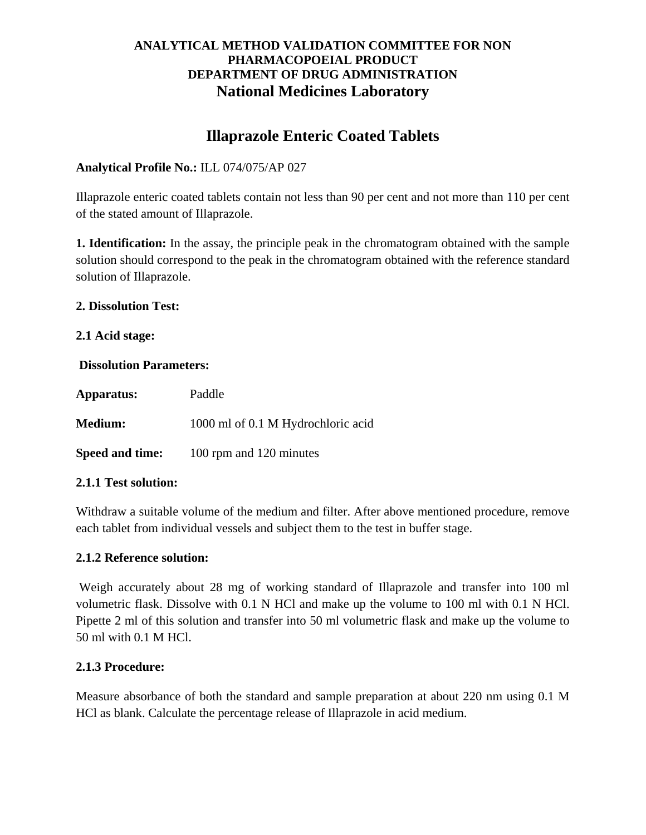# **Illaprazole Enteric Coated Tablets**

# **Analytical Profile No.:** ILL 074/075/AP 027

Illaprazole enteric coated tablets contain not less than 90 per cent and not more than 110 per cent of the stated amount of Illaprazole.

**1. Identification:** In the assay, the principle peak in the chromatogram obtained with the sample solution should correspond to the peak in the chromatogram obtained with the reference standard solution of Illaprazole.

#### **2. Dissolution Test:**

#### **2.1 Acid stage:**

#### **Dissolution Parameters:**

| Apparatus:      | Paddle                             |
|-----------------|------------------------------------|
| <b>Medium:</b>  | 1000 ml of 0.1 M Hydrochloric acid |
| Speed and time: | 100 rpm and 120 minutes            |

# **2.1.1 Test solution:**

Withdraw a suitable volume of the medium and filter. After above mentioned procedure, remove each tablet from individual vessels and subject them to the test in buffer stage.

#### **2.1.2 Reference solution:**

Weigh accurately about 28 mg of working standard of Illaprazole and transfer into 100 ml volumetric flask. Dissolve with 0.1 N HCl and make up the volume to 100 ml with 0.1 N HCl. Pipette 2 ml of this solution and transfer into 50 ml volumetric flask and make up the volume to 50 ml with 0.1 M HCl.

# **2.1.3 Procedure:**

Measure absorbance of both the standard and sample preparation at about 220 nm using 0.1 M HCl as blank. Calculate the percentage release of Illaprazole in acid medium.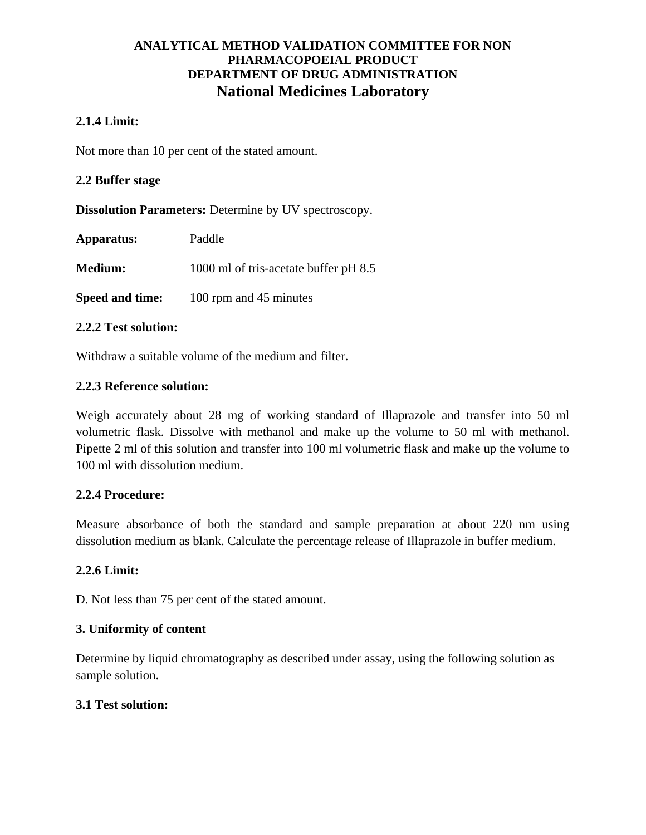# **2.1.4 Limit:**

Not more than 10 per cent of the stated amount.

### **2.2 Buffer stage**

**Dissolution Parameters:** Determine by UV spectroscopy.

| Apparatus: | Paddle |
|------------|--------|
|            |        |

**Medium:** 1000 ml of tris-acetate buffer pH 8.5

**Speed and time:** 100 rpm and 45 minutes

#### **2.2.2 Test solution:**

Withdraw a suitable volume of the medium and filter.

#### **2.2.3 Reference solution:**

Weigh accurately about 28 mg of working standard of Illaprazole and transfer into 50 ml volumetric flask. Dissolve with methanol and make up the volume to 50 ml with methanol. Pipette 2 ml of this solution and transfer into 100 ml volumetric flask and make up the volume to 100 ml with dissolution medium.

# **2.2.4 Procedure:**

Measure absorbance of both the standard and sample preparation at about 220 nm using dissolution medium as blank. Calculate the percentage release of Illaprazole in buffer medium.

# **2.2.6 Limit:**

D. Not less than 75 per cent of the stated amount.

# **3. Uniformity of content**

Determine by liquid chromatography as described under assay, using the following solution as sample solution.

# **3.1 Test solution:**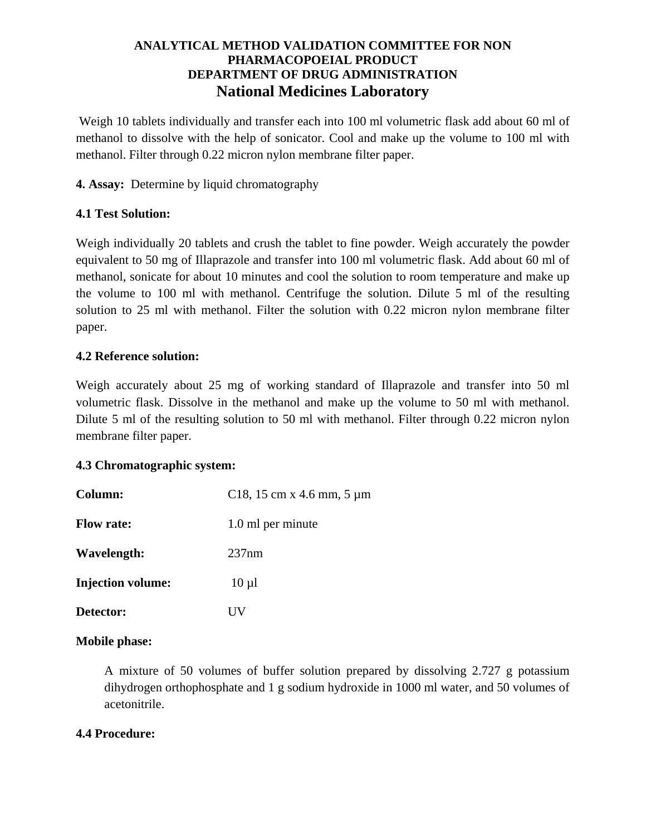Weigh 10 tablets individually and transfer each into 100 ml volumetric flask add about 60 ml of methanol to dissolve with the help of sonicator. Cool and make up the volume to 100 ml with methanol. Filter through 0.22 micron nylon membrane filter paper.

**4. Assay:** Determine by liquid chromatography

# **4.1 Test Solution:**

Weigh individually 20 tablets and crush the tablet to fine powder. Weigh accurately the powder equivalent to 50 mg of Illaprazole and transfer into 100 ml volumetric flask. Add about 60 ml of methanol, sonicate for about 10 minutes and cool the solution to room temperature and make up the volume to 100 ml with methanol. Centrifuge the solution. Dilute 5 ml of the resulting solution to 25 ml with methanol. Filter the solution with 0.22 micron nylon membrane filter paper.

# **4.2 Reference solution:**

Weigh accurately about 25 mg of working standard of Illaprazole and transfer into 50 ml volumetric flask. Dissolve in the methanol and make up the volume to 50 ml with methanol. Dilute 5 ml of the resulting solution to 50 ml with methanol. Filter through 0.22 micron nylon membrane filter paper.

# **4.3 Chromatographic system:**

| Column:                  | C <sub>18</sub> , 15 cm x 4.6 mm, 5 $\mu$ m |
|--------------------------|---------------------------------------------|
| <b>Flow rate:</b>        | 1.0 ml per minute                           |
| Wavelength:              | 237nm                                       |
| <b>Injection volume:</b> | $10 \mu l$                                  |
| Detector:                |                                             |

# **Mobile phase:**

A mixture of 50 volumes of buffer solution prepared by dissolving 2.727 g potassium dihydrogen orthophosphate and 1 g sodium hydroxide in 1000 ml water, and 50 volumes of acetonitrile.

# **4.4 Procedure:**